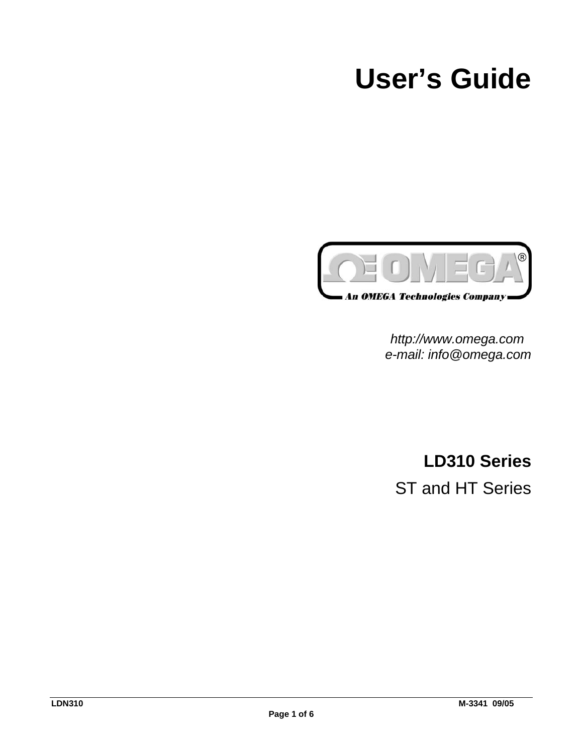# **User's Guide**



*http://www.omega.com e-mail: info@omega.com*

**LD310 Series** ST and HT Series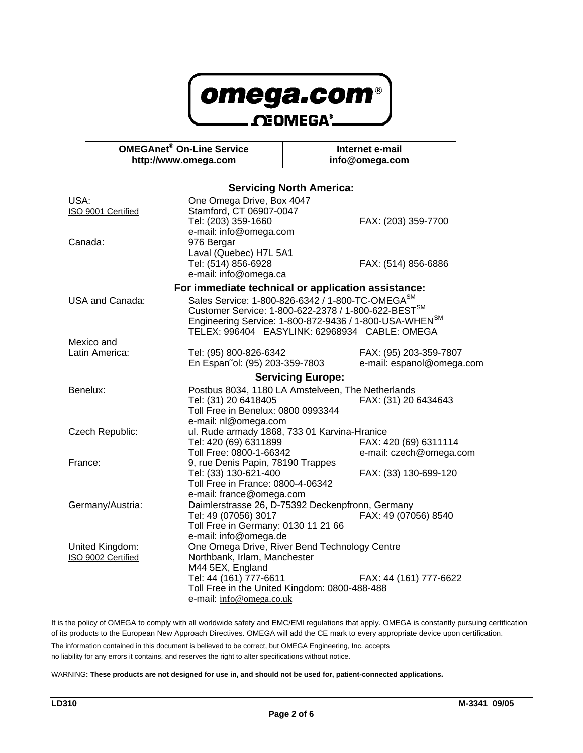

|                                                                                                                                              | <b>OMEGAnet<sup>®</sup> On-Line Service</b><br>http://www.omega.com |                                                                    | Internet e-mail<br>info@omega.com                                         |  |  |
|----------------------------------------------------------------------------------------------------------------------------------------------|---------------------------------------------------------------------|--------------------------------------------------------------------|---------------------------------------------------------------------------|--|--|
|                                                                                                                                              |                                                                     |                                                                    |                                                                           |  |  |
|                                                                                                                                              |                                                                     | One Omega Drive, Box 4047                                          | <b>Servicing North America:</b>                                           |  |  |
| USA:<br>ISO 9001 Certified                                                                                                                   |                                                                     | Stamford, CT 06907-0047                                            |                                                                           |  |  |
|                                                                                                                                              |                                                                     | Tel: (203) 359-1660                                                | FAX: (203) 359-7700                                                       |  |  |
| Canada:                                                                                                                                      |                                                                     | e-mail: info@omega.com                                             |                                                                           |  |  |
|                                                                                                                                              |                                                                     | 976 Bergar                                                         |                                                                           |  |  |
|                                                                                                                                              |                                                                     | Laval (Quebec) H7L 5A1<br>Tel: (514) 856-6928                      | FAX: (514) 856-6886                                                       |  |  |
|                                                                                                                                              |                                                                     | e-mail: info@omega.ca                                              |                                                                           |  |  |
|                                                                                                                                              |                                                                     |                                                                    |                                                                           |  |  |
| For immediate technical or application assistance:<br>Sales Service: 1-800-826-6342 / 1-800-TC-OMEGA <sup>SM</sup><br><b>USA and Canada:</b> |                                                                     |                                                                    |                                                                           |  |  |
|                                                                                                                                              |                                                                     | Customer Service: 1-800-622-2378 / 1-800-622-BEST <sup>SM</sup>    |                                                                           |  |  |
|                                                                                                                                              |                                                                     | Engineering Service: 1-800-872-9436 / 1-800-USA-WHEN <sup>SM</sup> |                                                                           |  |  |
|                                                                                                                                              |                                                                     |                                                                    | TELEX: 996404 EASYLINK: 62968934 CABLE: OMEGA                             |  |  |
|                                                                                                                                              | Mexico and                                                          |                                                                    |                                                                           |  |  |
| Latin America:                                                                                                                               |                                                                     | Tel: (95) 800-826-6342                                             | FAX: (95) 203-359-7807<br>e-mail: espanol@omega.com                       |  |  |
|                                                                                                                                              |                                                                     | En Español: (95) 203-359-7803                                      |                                                                           |  |  |
|                                                                                                                                              |                                                                     | <b>Servicing Europe:</b>                                           |                                                                           |  |  |
|                                                                                                                                              | Benelux:                                                            | Tel: (31) 20 6418405                                               | Postbus 8034, 1180 LA Amstelveen, The Netherlands<br>FAX: (31) 20 6434643 |  |  |
|                                                                                                                                              |                                                                     | Toll Free in Benelux: 0800 0993344                                 |                                                                           |  |  |
|                                                                                                                                              |                                                                     | e-mail: nl@omega.com                                               |                                                                           |  |  |
|                                                                                                                                              | Czech Republic:                                                     |                                                                    | ul. Rude armady 1868, 733 01 Karvina-Hranice                              |  |  |
|                                                                                                                                              |                                                                     | Tel: 420 (69) 6311899                                              | FAX: 420 (69) 6311114                                                     |  |  |
|                                                                                                                                              |                                                                     | Toll Free: 0800-1-66342                                            | e-mail: czech@omega.com                                                   |  |  |
| France:                                                                                                                                      |                                                                     | 9, rue Denis Papin, 78190 Trappes<br>Tel: (33) 130-621-400         | FAX: (33) 130-699-120                                                     |  |  |
|                                                                                                                                              |                                                                     | Toll Free in France: 0800-4-06342                                  |                                                                           |  |  |
|                                                                                                                                              |                                                                     | e-mail: france@omega.com                                           |                                                                           |  |  |
|                                                                                                                                              | Germany/Austria:                                                    | Daimlerstrasse 26, D-75392 Deckenpfronn, Germany                   |                                                                           |  |  |
|                                                                                                                                              |                                                                     | Tel: 49 (07056) 3017                                               | FAX: 49 (07056) 8540                                                      |  |  |
|                                                                                                                                              |                                                                     | Toll Free in Germany: 0130 11 21 66                                |                                                                           |  |  |
|                                                                                                                                              |                                                                     | e-mail: info@omega.de                                              |                                                                           |  |  |
|                                                                                                                                              | United Kingdom:<br>ISO 9002 Certified                               | Northbank, Irlam, Manchester                                       | One Omega Drive, River Bend Technology Centre                             |  |  |
|                                                                                                                                              |                                                                     | M44 5EX, England                                                   |                                                                           |  |  |
|                                                                                                                                              |                                                                     | Tel: 44 (161) 777-6611                                             | FAX: 44 (161) 777-6622                                                    |  |  |
|                                                                                                                                              |                                                                     |                                                                    | Toll Free in the United Kingdom: 0800-488-488                             |  |  |
|                                                                                                                                              |                                                                     | e-mail: info@omega.co.uk                                           |                                                                           |  |  |

It is the policy of OMEGA to comply with all worldwide safety and EMC/EMI regulations that apply. OMEGA is constantly pursuing certification of its products to the European New Approach Directives. OMEGA will add the CE mark to every appropriate device upon certification.

The information contained in this document is believed to be correct, but OMEGA Engineering, Inc. accepts

no liability for any errors it contains, and reserves the right to alter specifications without notice.

WARNING**: These products are not designed for use in, and should not be used for, patient-connected applications.**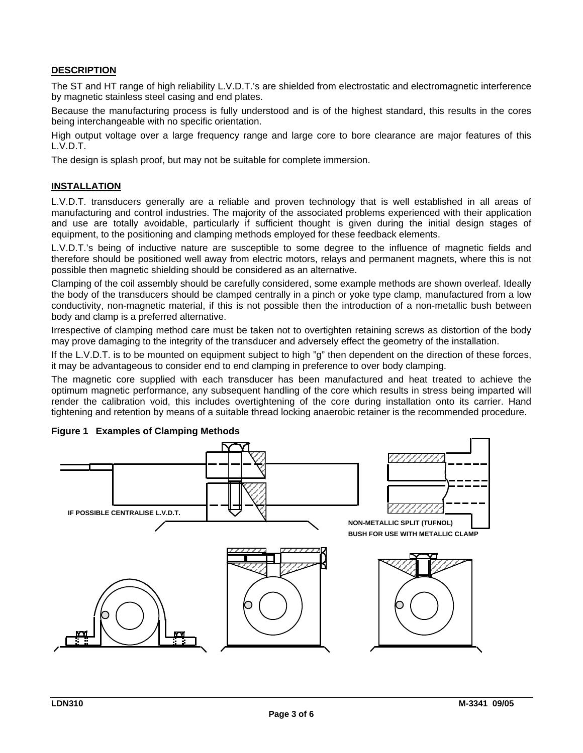### **DESCRIPTION**

The ST and HT range of high reliability L.V.D.T.'s are shielded from electrostatic and electromagnetic interference by magnetic stainless steel casing and end plates.

Because the manufacturing process is fully understood and is of the highest standard, this results in the cores being interchangeable with no specific orientation.

High output voltage over a large frequency range and large core to bore clearance are major features of this L.V.D.T.

The design is splash proof, but may not be suitable for complete immersion.

### **INSTALLATION**

L.V.D.T. transducers generally are a reliable and proven technology that is well established in all areas of manufacturing and control industries. The majority of the associated problems experienced with their application and use are totally avoidable, particularly if sufficient thought is given during the initial design stages of equipment, to the positioning and clamping methods employed for these feedback elements.

L.V.D.T.'s being of inductive nature are susceptible to some degree to the influence of magnetic fields and therefore should be positioned well away from electric motors, relays and permanent magnets, where this is not possible then magnetic shielding should be considered as an alternative.

Clamping of the coil assembly should be carefully considered, some example methods are shown overleaf. Ideally the body of the transducers should be clamped centrally in a pinch or yoke type clamp, manufactured from a low conductivity, non-magnetic material, if this is not possible then the introduction of a non-metallic bush between body and clamp is a preferred alternative.

Irrespective of clamping method care must be taken not to overtighten retaining screws as distortion of the body may prove damaging to the integrity of the transducer and adversely effect the geometry of the installation.

If the L.V.D.T. is to be mounted on equipment subject to high "g" then dependent on the direction of these forces, it may be advantageous to consider end to end clamping in preference to over body clamping.

The magnetic core supplied with each transducer has been manufactured and heat treated to achieve the optimum magnetic performance, any subsequent handling of the core which results in stress being imparted will render the calibration void, this includes overtightening of the core during installation onto its carrier. Hand tightening and retention by means of a suitable thread locking anaerobic retainer is the recommended procedure.



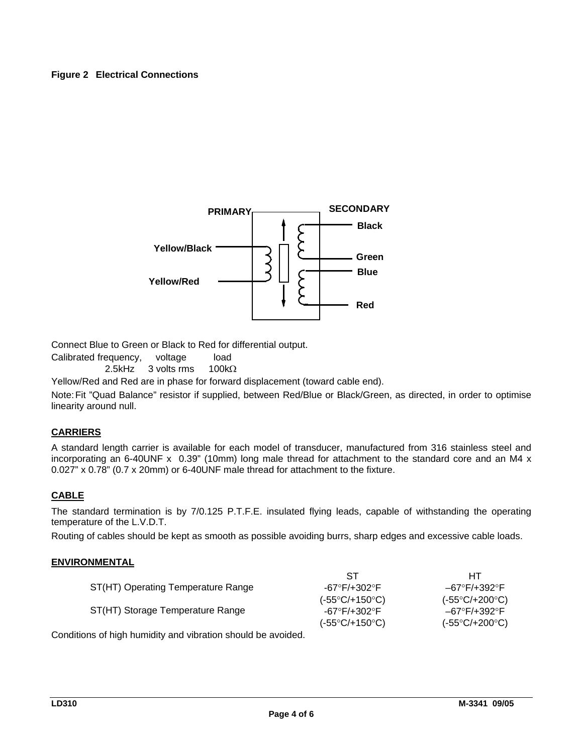### **Figure 2 Electrical Connections**



Connect Blue to Green or Black to Red for differential output.

Calibrated frequency, voltage load

2.5kHz 3 volts rms 100kΩ

Yellow/Red and Red are in phase for forward displacement (toward cable end).

Note:Fit "Quad Balance" resistor if supplied, between Red/Blue or Black/Green, as directed, in order to optimise linearity around null.

### **CARRIERS**

A standard length carrier is available for each model of transducer, manufactured from 316 stainless steel and incorporating an 6-40UNF  $\times$  0.39" (10mm) long male thread for attachment to the standard core and an M4  $\times$ 0.027" x 0.78" (0.7 x 20mm) or 6-40UNF male thread for attachment to the fixture.

### **CABLE**

The standard termination is by 7/0.125 P.T.F.E. insulated flying leads, capable of withstanding the operating temperature of the L.V.D.T.

Routing of cables should be kept as smooth as possible avoiding burrs, sharp edges and excessive cable loads.

#### **ENVIRONMENTAL**

|                                                                                        | -ST                            | HТ                             |
|----------------------------------------------------------------------------------------|--------------------------------|--------------------------------|
| ST(HT) Operating Temperature Range                                                     | $-67^\circ$ F/+302 $^\circ$ F  | –67°F/+392°F                   |
|                                                                                        | $(-55^{\circ}C/+150^{\circ}C)$ | $(-55^{\circ}C/+200^{\circ}C)$ |
| ST(HT) Storage Temperature Range                                                       | $-67^\circ$ F/+302 $^\circ$ F  | –67°F/+392°F                   |
|                                                                                        | $(-55^{\circ}C/+150^{\circ}C)$ | $(-55^{\circ}C/+200^{\circ}C)$ |
| المتحامل وينتجى والمارين والملاح والمتحول والمتارين والمناط والمتحول والملواط المتحورة |                                |                                |

Conditions of high humidity and vibration should be avoided.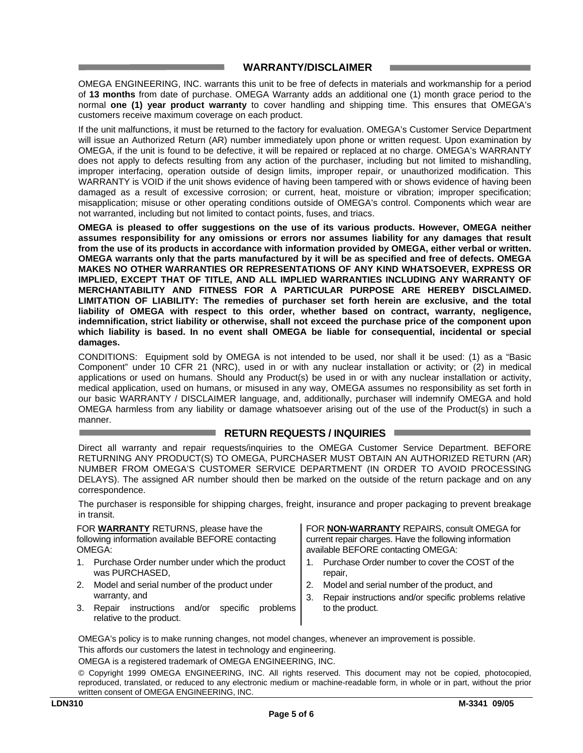### **WARRANTY/DISCLAIMER**

OMEGA ENGINEERING, INC. warrants this unit to be free of defects in materials and workmanship for a period of **13 months** from date of purchase. OMEGA Warranty adds an additional one (1) month grace period to the normal **one (1) year product warranty** to cover handling and shipping time. This ensures that OMEGA's customers receive maximum coverage on each product.

If the unit malfunctions, it must be returned to the factory for evaluation. OMEGA's Customer Service Department will issue an Authorized Return (AR) number immediately upon phone or written request. Upon examination by OMEGA, if the unit is found to be defective, it will be repaired or replaced at no charge. OMEGA's WARRANTY does not apply to defects resulting from any action of the purchaser, including but not limited to mishandling, improper interfacing, operation outside of design limits, improper repair, or unauthorized modification. This WARRANTY is VOID if the unit shows evidence of having been tampered with or shows evidence of having been damaged as a result of excessive corrosion; or current, heat, moisture or vibration; improper specification; misapplication; misuse or other operating conditions outside of OMEGA's control. Components which wear are not warranted, including but not limited to contact points, fuses, and triacs.

**OMEGA is pleased to offer suggestions on the use of its various products. However, OMEGA neither assumes responsibility for any omissions or errors nor assumes liability for any damages that result from the use of its products in accordance with information provided by OMEGA, either verbal or written. OMEGA warrants only that the parts manufactured by it will be as specified and free of defects. OMEGA MAKES NO OTHER WARRANTIES OR REPRESENTATIONS OF ANY KIND WHATSOEVER, EXPRESS OR IMPLIED, EXCEPT THAT OF TITLE, AND ALL IMPLIED WARRANTIES INCLUDING ANY WARRANTY OF MERCHANTABILITY AND FITNESS FOR A PARTICULAR PURPOSE ARE HEREBY DISCLAIMED. LIMITATION OF LIABILITY: The remedies of purchaser set forth herein are exclusive, and the total liability of OMEGA with respect to this order, whether based on contract, warranty, negligence, indemnification, strict liability or otherwise, shall not exceed the purchase price of the component upon which liability is based. In no event shall OMEGA be liable for consequential, incidental or special damages.**

CONDITIONS: Equipment sold by OMEGA is not intended to be used, nor shall it be used: (1) as a "Basic Component" under 10 CFR 21 (NRC), used in or with any nuclear installation or activity; or (2) in medical applications or used on humans. Should any Product(s) be used in or with any nuclear installation or activity, medical application, used on humans, or misused in any way, OMEGA assumes no responsibility as set forth in our basic WARRANTY / DISCLAIMER language, and, additionally, purchaser will indemnify OMEGA and hold OMEGA harmless from any liability or damage whatsoever arising out of the use of the Product(s) in such a manner.

### **RETURN REQUESTS / INQUIRIES**

Direct all warranty and repair requests/inquiries to the OMEGA Customer Service Department. BEFORE RETURNING ANY PRODUCT(S) TO OMEGA, PURCHASER MUST OBTAIN AN AUTHORIZED RETURN (AR) NUMBER FROM OMEGA'S CUSTOMER SERVICE DEPARTMENT (IN ORDER TO AVOID PROCESSING DELAYS). The assigned AR number should then be marked on the outside of the return package and on any correspondence.

The purchaser is responsible for shipping charges, freight, insurance and proper packaging to prevent breakage in transit.

FOR **WARRANTY** RETURNS, please have the following information available BEFORE contacting OMEGA:

- 1. Purchase Order number under which the product was PURCHASED,
- 2. Model and serial number of the product under warranty, and
- 3. Repair instructions and/or specific problems relative to the product.

FOR **NON-WARRANTY** REPAIRS, consult OMEGA for current repair charges. Have the following information available BEFORE contacting OMEGA:

- 1. Purchase Order number to cover the COST of the repair,
- 2. Model and serial number of the product, and
- 3. Repair instructions and/or specific problems relative to the product.

OMEGA's policy is to make running changes, not model changes, whenever an improvement is possible.

This affords our customers the latest in technology and engineering.

OMEGA is a registered trademark of OMEGA ENGINEERING, INC.

© Copyright 1999 OMEGA ENGINEERING, INC. All rights reserved. This document may not be copied, photocopied, reproduced, translated, or reduced to any electronic medium or machine-readable form, in whole or in part, without the prior written consent of OMEGA ENGINEERING, INC.